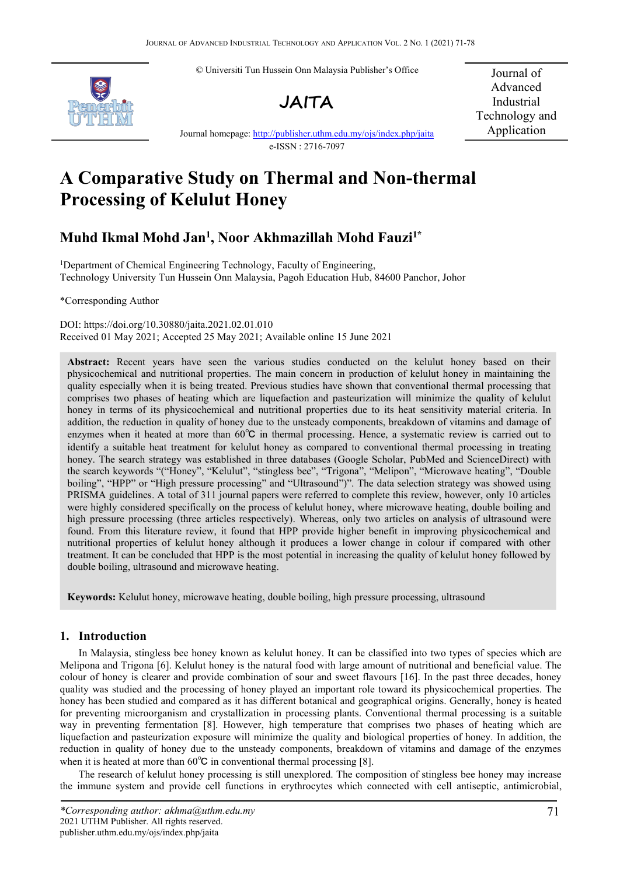© Universiti Tun Hussein Onn Malaysia Publisher's Office





Journal of Advanced Industrial Technology and Application

Journal homepage: <http://publisher.uthm.edu.my/ojs/index.php/jaita> e-ISSN : 2716-7097

# **A Comparative Study on Thermal and Non-thermal Processing of Kelulut Honey**

# **Muhd Ikmal Mohd Jan 1 , Noor Akhmazillah Mohd Fauzi1\***

<sup>1</sup>Department of Chemical Engineering Technology, Faculty of Engineering, Technology University Tun Hussein Onn Malaysia, Pagoh Education Hub, 84600 Panchor, Johor

\*Corresponding Author

DOI: https://doi.org/10.30880/jaita.2021.02.01.010 Received 01 May 2021; Accepted 25 May 2021; Available online 15 June 2021

Abstract: Recent years have seen the various studies conducted on the kelulut honey based on their physicochemical and nutritional properties. The main concern in production of kelulut honey in maintaining the quality especially when it is being treated. Previous studies have shown that conventional thermal processing that comprises two phases of heating which are liquefaction and pasteurization will minimize the quality of kelulut honey in terms of its physicochemical and nutritional properties due to its heat sensitivity material criteria. In addition, the reduction in quality of honey due to the unsteady components, breakdown of vitamins and damage of enzymes when it heated at more than 60℃ in thermal processing. Hence, a systematic review is carried out to identify a suitable heat treatment for kelulut honey as compared to conventional thermal processing in treating honey. The search strategy was established in three databases (Google Scholar, PubMed and ScienceDirect) with the search keywords "("Honey", "Kelulut", "stingless bee", "Trigona", "Melipon", "Microwave heating", "Double boiling", "HPP" or "High pressure processing" and "Ultrasound")". The data selection strategy was showed using PRISMA guidelines. A total of 311 journal papers were referred to complete this review, however, only 10 articles were highly considered specifically on the process of kelulut honey, where microwave heating, double boiling and high pressure processing (three articles respectively). Whereas, only two articles on analysis of ultrasound were found. From this literature review, it found that HPP provide higher benefit in improving physicochemical and nutritional properties of kelulut honey although it produces a lower change in colour if compared with other treatment. It can be concluded that HPP is the most potential in increasing the quality of kelulut honey followed by double boiling, ultrasound and microwave heating.

**Keywords:** Kelulut honey, microwave heating, double boiling, high pressure processing, ultrasound

# **1. Introduction**

In Malaysia, stingless bee honey known as kelulut honey. It can be classified into two types of species which are Melipona and Trigona [6]. Kelulut honey is the natural food with large amount of nutritional and beneficial value. The colour of honey is clearer and provide combination of sour and sweet flavours [16]. In the past three decades, honey quality was studied and the processing of honey played an important role toward its physicochemical properties. The honey has been studied and compared as it has different botanical and geographical origins. Generally, honey is heated for preventing microorganism and crystallization in processing plants. Conventional thermal processing is a suitable way in preventing fermentation [8]. However, high temperature that comprises two phases of heating which are liquefaction and pasteurization exposure will minimize the quality and biological properties of honey. In addition, the reduction in quality of honey due to the unsteady components, breakdown of vitamins and damage of the enzymes when it is heated at more than  $60^{\circ}$ C in conventional thermal processing [8].

The research of kelulut honey processing is still unexplored. The composition of stingless bee honey may increase the immune system and provide cell functions in erythrocytes which connected with cell antiseptic, antimicrobial,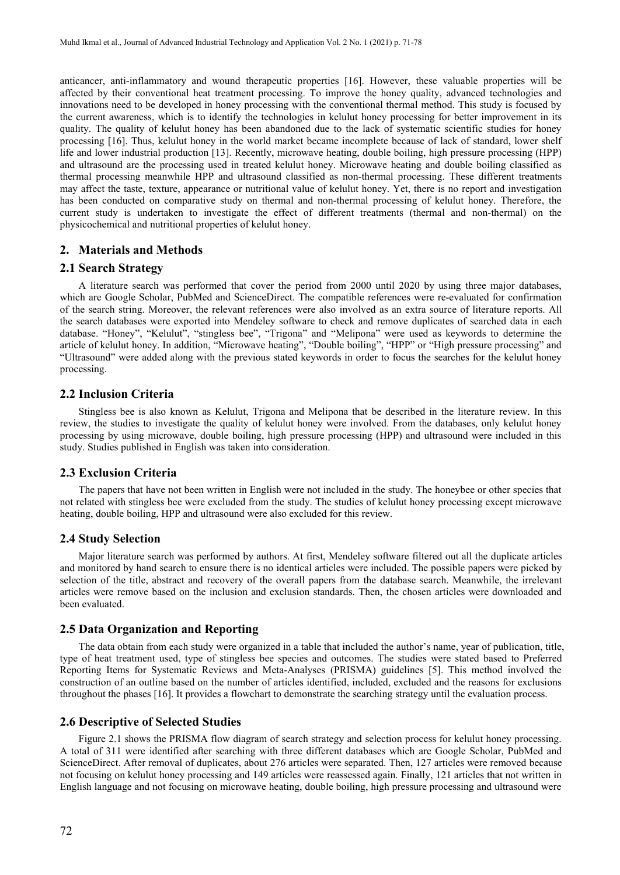anticancer, anti-inflammatory and wound therapeutic properties [16]. However, these valuable properties will be affected by their conventional heat treatment processing. To improve the honey quality, advanced technologies and innovations need to be developed in honey processing with the conventional thermal method. This study is focused by the current awareness, which is to identify the technologies in kelulut honey processing for better improvement in its quality. The quality of kelulut honey has been abandoned due to the lack of systematic scientific studies for honey processing [16]. Thus, kelulut honey in the world market became incomplete because of lack of standard, lower shelf life and lower industrial production [13]. Recently, microwave heating, double boiling, high pressure processing (HPP) and ultrasound are the processing used in treated kelulut honey. Microwave heating and double boiling classified as thermal processing meanwhile HPP and ultrasound classified as non-thermal processing. These different treatments may affect the taste, texture, appearance or nutritional value of kelulut honey. Yet, there is no report and investigation has been conducted on comparative study on thermal and non-thermal processing of kelulut honey. Therefore, the current study is undertaken to investigate the effect of different treatments (thermal and non-thermal) on the physicochemical and nutritional properties of kelulut honey.

### **2. Materials and Methods**

#### **2.1 Search Strategy**

A literature search was performed that cover the period from 2000 until 2020 by using three major databases, which are Google Scholar, PubMed and ScienceDirect. The compatible references were re-evaluated for confirmation of the search string. Moreover, the relevant references were also involved as an extra source of literature reports. All the search databases were exported into Mendeley software to check and remove duplicates of searched data in each database. "Honey", "Kelulut", "stingless bee", "Trigona" and "Melipona" were used as keywords to determine the article of kelulut honey. In addition, "Microwave heating", "Double boiling", "HPP" or "High pressure processing" and "Ultrasound" were added along with the previous stated keywords in order to focus the searches for the keluluthoney processing.

# **2.2 Inclusion Criteria**

Stingless bee is also known as Kelulut, Trigona and Melipona that be described in the literature review. In this review, the studies to investigate the quality of kelulut honey were involved. From the databases, only kelulut honey processing by using microwave, double boiling, high pressure processing (HPP) and ultrasound were included in this study. Studies published in English was taken into consideration.

# **2.3 Exclusion Criteria**

The papers that have not been written in English were not included in the study. The honeybee or other species that not related with stingless bee were excluded from the study. The studies of kelulut honey processing except microwave heating, double boiling, HPP and ultrasound were also excluded for this review.

#### **2.4 Study Selection**

Major literature search was performed by authors. At first, Mendeley software filtered out all the duplicate articles and monitored by hand search to ensure there is no identical articles were included. The possible papers were picked by selection of the title, abstract and recovery of the overall papers from the database search. Meanwhile, the irrelevant articles were remove based on the inclusion and exclusion standards. Then, the chosen articles were downloaded and been evaluated.

#### **2.5 Data Organization and Reporting**

The data obtain from each study were organized in a table that included the author's name, year of publication, title, type of heat treatment used, type of stingless bee species and outcomes. The studies were stated based to Preferred Reporting Items for Systematic Reviews and Meta-Analyses (PRISMA) guidelines [5]. This method involved the construction of an outline based on the number of articles identified, included, excluded and the reasons for exclusions throughout the phases [16]. It provides a flowchart to demonstrate the searching strategy until the evaluation process.

## **2.6 Descriptive of Selected Studies**

Figure 2.1 shows the PRISMA flow diagram of search strategy and selection process for kelulut honey processing. A total of 311 were identified after searching with three different databases which are Google Scholar, PubMed and ScienceDirect. After removal of duplicates, about 276 articles were separated. Then, 127 articles were removed because not focusing on kelulut honey processing and 149 articles were reassessed again. Finally, 121 articles that not written in English language and not focusing on microwave heating, double boiling, high pressure processing and ultrasound were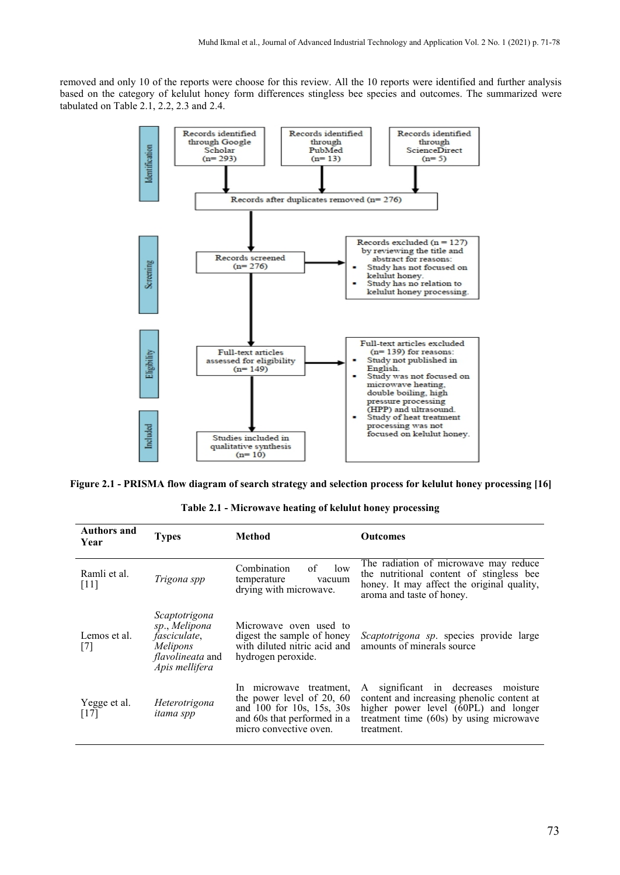removed and only 10 of the reports were choose for this review. All the 10 reports were identified and further analysis based on the category of kelulut honey form differences stingless bee species and outcomes. The summarized were tabulated on Table 2.1, 2.2, 2.3 and 2.4.



**Figure 2.1 -PRISMA flow diagram of search strategy and selection process for kelulut honey processing [16]**

| Table 2.1 - Microwave heating of kelulut honey processing |  |  |  |
|-----------------------------------------------------------|--|--|--|
|-----------------------------------------------------------|--|--|--|

| <b>Authors and</b><br>Year | <b>Types</b>                                                                                                    | <b>Method</b>                                                                                                                              | <b>Outcomes</b>                                                                                                                                                                       |
|----------------------------|-----------------------------------------------------------------------------------------------------------------|--------------------------------------------------------------------------------------------------------------------------------------------|---------------------------------------------------------------------------------------------------------------------------------------------------------------------------------------|
| Ramli et al.<br>$[11]$     | Trigona spp                                                                                                     | Combination<br>οf<br>low<br>temperature<br>vacuum<br>drying with microwave.                                                                | The radiation of microwave may reduce<br>the nutritional content of stingless bee<br>honey. It may affect the original quality,<br>aroma and taste of honey.                          |
| Lemos et al.<br>$[7]$      | Scaptotrigona<br>sp., Melipona<br><i>fasciculate</i> ,<br>Melipons<br><i>flavolineata</i> and<br>Apis mellifera | Microwave oven used to<br>digest the sample of honey<br>with diluted nitric acid and<br>hydrogen peroxide.                                 | Scaptotrigona sp. species provide large<br>amounts of minerals source                                                                                                                 |
| Yegge et al.<br>$[17]$     | Heterotrigona<br><i>itama spp</i>                                                                               | In microwave treatment,<br>the power level of 20, 60<br>and 100 for 10s, 15s, 30s<br>and 60s that performed in a<br>micro convective oven. | A significant in decreases<br>moisture<br>content and increasing phenolic content at<br>higher power level (60PL) and longer<br>treatment time (60s) by using microwave<br>treatment. |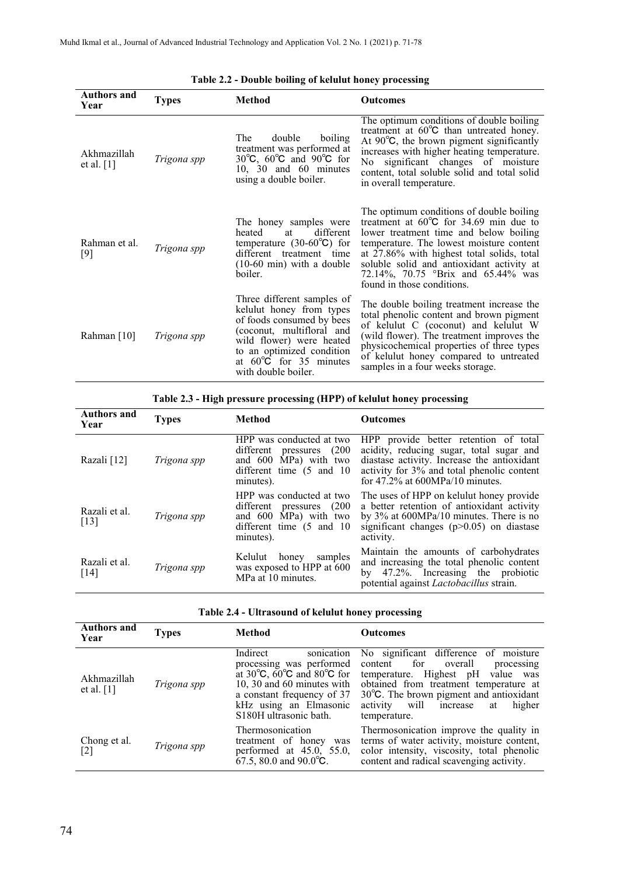| <b>Authors and</b><br>Year  | <b>Types</b> | <b>Method</b>                                                                                                                                                                                                                        | <b>Outcomes</b>                                                                                                                                                                                                                                                                                                                                   |
|-----------------------------|--------------|--------------------------------------------------------------------------------------------------------------------------------------------------------------------------------------------------------------------------------------|---------------------------------------------------------------------------------------------------------------------------------------------------------------------------------------------------------------------------------------------------------------------------------------------------------------------------------------------------|
| Akhmazillah<br>et al. $[1]$ | Trigona spp  | double<br>boiling<br>The<br>treatment was performed at<br>30 $\degree$ C, 60 $\degree$ C and 90 $\degree$ C for<br>10, 30 and 60 minutes<br>using a double boiler.                                                                   | The optimum conditions of double boiling<br>treatment at 60°C than untreated honey.<br>At $90^{\circ}$ C, the brown pigment significantly<br>increases with higher heating temperature.<br>No significant changes of moisture<br>content, total soluble solid and total solid<br>in overall temperature.                                          |
| Rahman et al.<br>$[9]$      | Trigona spp  | The honey samples were<br>different<br>heated<br>at<br>temperature $(30-60^{\circ}\text{C})$ for<br>different treatment time<br>$(10-60 \text{ min})$ with a double<br>boiler.                                                       | The optimum conditions of double boiling<br>treatment at $60^{\circ}$ C for 34.69 min due to<br>lower treatment time and below boiling<br>temperature. The lowest moisture content<br>at 27.86% with highest total solids, total<br>soluble solid and antioxidant activity at<br>72.14%, 70.75 °Brix and 65.44% was<br>found in those conditions. |
| Rahman [10]                 | Trigona spp  | Three different samples of<br>kelulut honey from types<br>of foods consumed by bees<br>(coconut, multifloral and<br>wild flower) were heated<br>to an optimized condition<br>at $60^{\circ}$ C for 35 minutes<br>with double boiler. | The double boiling treatment increase the<br>total phenolic content and brown pigment<br>of kelulut C (coconut) and kelulut W<br>(wild flower). The treatment improves the<br>physicochemical properties of three types<br>of kelulut honey compared to untreated<br>samples in a four weeks storage.                                             |

| Table 2.2 - Double boiling of kelulut honey processing |  |
|--------------------------------------------------------|--|
|                                                        |  |

**Table 2.3 -High pressure processing (HPP) of kelulut honey processing**

| <b>Authors and</b><br>Year | Types       | <b>Method</b>                                                                                                                          | <b>Outcomes</b>                                                                                                                                                                                                      |
|----------------------------|-------------|----------------------------------------------------------------------------------------------------------------------------------------|----------------------------------------------------------------------------------------------------------------------------------------------------------------------------------------------------------------------|
| Razali [12]                | Trigona spp | HPP was conducted at two<br>(200)<br>different pressures<br>and 600 MPa) with two<br>different time $(5 \text{ and } 10)$<br>minutes). | HPP provide better retention of total<br>acidity, reducing sugar, total sugar and<br>diastase activity. Increase the antioxidant<br>activity for 3% and total phenolic content<br>for $47.2\%$ at 600MPa/10 minutes. |
| Razali et al.<br>$[13]$    | Trigona spp | HPP was conducted at two<br>different pressures (200<br>and 600 MPa) with two<br>different time $(5 \text{ and } 10)$<br>minutes).     | The uses of HPP on kelulut honey provide<br>a better retention of antioxidant activity<br>by $3\%$ at 600MPa/10 minutes. There is no<br>significant changes $(p>0.05)$ on diastase<br>activity.                      |
| Razali et al.<br>$[14]$    | Trigona spp | Kelulut<br>honey<br>samples<br>was exposed to HPP at 600<br>MPa at 10 minutes.                                                         | Maintain the amounts of carbohydrates<br>and increasing the total phenolic content<br>by 47.2%. Increasing the probiotic<br>potential against <i>Lactobacillus</i> strain.                                           |

| Table 2.4 - Ultrasound of kelulut honey processing |  |
|----------------------------------------------------|--|
|----------------------------------------------------|--|

| <b>Authors and</b><br>Year  | <b>Types</b> | <b>Method</b>                                                                                                                                     | <b>Outcomes</b>                                                                                                                                                                                                                                                                                                                                                    |
|-----------------------------|--------------|---------------------------------------------------------------------------------------------------------------------------------------------------|--------------------------------------------------------------------------------------------------------------------------------------------------------------------------------------------------------------------------------------------------------------------------------------------------------------------------------------------------------------------|
| Akhmazillah<br>et al. $[1]$ | Trigona spp  | Indirect<br>sonication<br>processing was performed<br>a constant frequency of 37<br>kHz using an Elmasonic<br>S <sub>180</sub> H ultrasonic bath. | No significant difference of moisture<br>content for overall<br>processing<br>at $30^{\circ}$ C, $60^{\circ}$ C and $80^{\circ}$ C for temperature. Highest pH value was<br>10, 30 and 60 minutes with obtained from treatment temperature at<br>$30^{\circ}$ C. The brown pigment and antioxidant<br>will<br>activity<br>higher<br>increase<br>at<br>temperature. |
| Chong et al.<br>$[2]$       | Trigona spp  | Thermosonication<br>treatment of honey was<br>performed at $45.0$ , $55.0$ ,<br>$67.5$ , 80.0 and 90.0°C.                                         | Thermosonication improve the quality in<br>terms of water activity, moisture content,<br>color intensity, viscosity, total phenolic<br>content and radical scavenging activity.                                                                                                                                                                                    |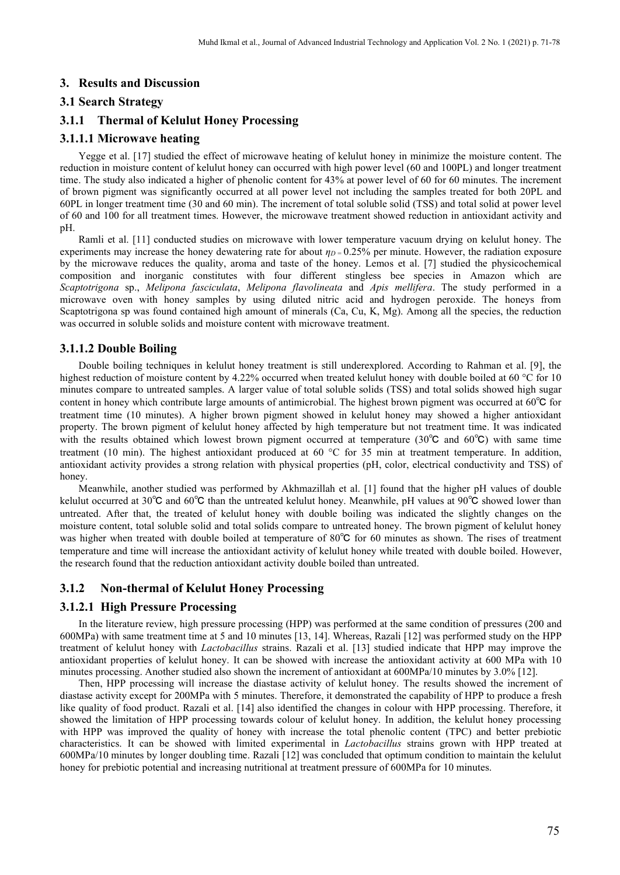# **3. Results and Discussion**

#### **3.1 Search Strategy**

# **3.1.1 Thermal of Kelulut Honey Processing**

#### **3.1.1.1 Microwave heating**

Yegge et al. [17] studied the effect of microwave heating of kelulut honey in minimize the moisture content. The reduction in moisture content of kelulut honey can occurred with high power level (60 and 100PL) and longer treatment time. The study also indicated a higher of phenolic content for 43% at power level of 60 for 60 minutes. The increment of brown pigment was significantly occurred at all power level not including the samples treated for both 20PL and 60PL in longer treatment time (30 and 60 min). The increment of total soluble solid (TSS) and total solid at power level of 60 and 100 for all treatment times. However, the microwave treatment showed reduction in antioxidant activity and pH.

Ramli et al. [11] conducted studies on microwave with lower temperature vacuum drying on kelulut honey. The experiments may increase the honey dewatering rate for about  $\eta_D = 0.25\%$  per minute. However, the radiation exposure by the microwave reduces the quality, aroma and taste of the honey. Lemos et al. [7] studied the physicochemical composition and inorganic constitutes with four different stingless bee species in Amazon which are *Scaptotrigona* sp., *Melipona fasciculata*, *Melipona flavolineata* and *Apis mellifera*. The study performed in a microwave oven with honey samples by using diluted nitric acid and hydrogen peroxide. The honeys from Scaptotrigona sp was found contained high amount of minerals (Ca, Cu, K, Mg). Among all the species, the reduction was occurred in soluble solids and moisture content with microwave treatment.

#### **3.1.1.2 Double Boiling**

Double boiling techniques in kelulut honey treatment is still underexplored. According to Rahman et al. [9], the highest reduction of moisture content by 4.22% occurred when treated kelulut honey with double boiled at 60 °C for 10 minutes compare to untreated samples. A larger value of total soluble solids (TSS) and total solids showed high sugar content in honey which contribute large amounts of antimicrobial. The highest brown pigment was occurred at  $60^{\circ}$ C for treatment time (10 minutes). A higher brown pigment showed in kelulut honey may showed a higher antioxidant property. The brown pigment of kelulut honey affected by high temperature but not treatment time. It was indicated with the results obtained which lowest brown pigment occurred at temperature (30℃ and 60℃) with same time treatment (10 min). The highest antioxidant produced at 60  $^{\circ}$ C for 35 min at treatment temperature. In addition, antioxidant activity provides a strong relation with physical properties (pH, color, electrical conductivity and TSS) of honey.

Meanwhile, another studied was performed by Akhmazillah et al. [1] found that the higher pH values of double kelulut occurred at 30℃ and 60℃ than the untreated kelulut honey. Meanwhile, pH values at 90℃ showed lower than untreated. After that, the treated of kelulut honey with double boiling was indicated the slightly changes on the moisture content, total soluble solid and total solids compare to untreated honey. The brown pigment of kelulut honey was higher when treated with double boiled at temperature of 80℃ for 60 minutes as shown. The rises of treatment temperature and time will increase the antioxidant activity of kelulut honey while treated with double boiled. However, the research found that the reduction antioxidant activity double boiled than untreated.

# **3.1.2 Non-thermal of Kelulut Honey Processing**

### **3.1.2.1 High Pressure Processing**

In the literature review, high pressure processing (HPP) was performed at the same condition of pressures (200 and 600MPa) with same treatment time at 5 and 10 minutes [13, 14]. Whereas, Razali [12] was performed study on the HPP treatment of kelulut honey with *Lactobacillus* strains. Razali et al. [13] studied indicate that HPP may improve the antioxidant properties of kelulut honey. It can be showed with increase the antioxidant activity at 600 MPa with 10 minutes processing. Another studied also shown the increment of antioxidant at 600MPa/10 minutes by 3.0% [12].

Then, HPP processing will increase the diastase activity of kelulut honey. The results showed the increment of diastase activity except for 200MPa with 5 minutes. Therefore, it demonstrated the capability of HPP to produce a fresh like quality of food product. Razali et al. [14] also identified the changes in colour with HPP processing. Therefore, it showed the limitation of HPP processing towards colour of kelulut honey. In addition, the kelulut honey processing with HPP was improved the quality of honey with increase the total phenolic content (TPC) and better prebiotic characteristics. It can be showed with limited experimental in *Lactobacillus* strains grown with HPP treated at 600MPa/10 minutes by longer doubling time. Razali [12] was concluded that optimum condition to maintain the kelulut honey for prebiotic potential and increasing nutritional at treatment pressure of 600MPa for 10 minutes.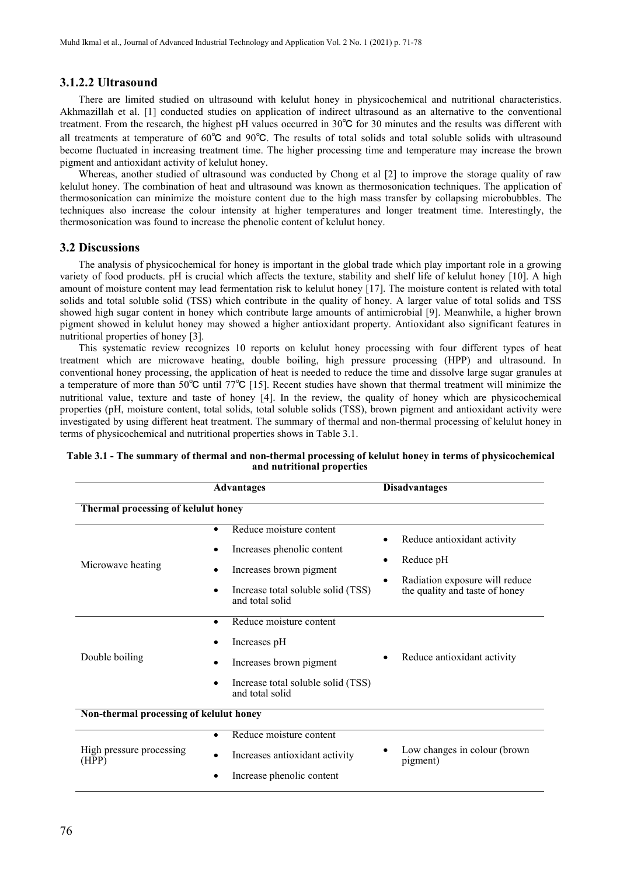### **3.1.2.2 Ultrasound**

There are limited studied on ultrasound with kelulut honey in physicochemical and nutritional characteristics. Akhmazillah et al. [1] conducted studies on application of indirect ultrasound as an alternative to the conventional treatment. From the research, the highest pH values occurred in 30℃ for 30 minutes and the results was different with all treatments at temperature of 60℃ and 90℃. The results of total solids and total soluble solids with ultrasound become fluctuated in increasing treatment time. The higher processing time and temperature may increase the brown pigment and antioxidant activity of kelulut honey.

Whereas, another studied of ultrasound was conducted by Chong et al [2] to improve the storage quality of raw kelulut honey. The combination of heat and ultrasound was known as thermosonication techniques. The application of thermosonication can minimize the moisture content due to the high mass transfer by collapsing microbubbles. The techniques also increase the colour intensity at higher temperatures and longer treatment time. Interestingly, the thermosonication was found to increase the phenolic content of kelulut honey.

### **3.2 Discussions**

The analysis of physicochemical for honey is important in the global trade which play important role in a growing variety of food products. pH is crucial which affects the texture, stability and shelf life of kelulut honey [10]. A high amount of moisture content may lead fermentation risk to kelulut honey [17]. The moisture contentis related with total solids and total soluble solid (TSS) which contribute in the quality of honey. A larger value of total solids and TSS showed high sugar content in honey which contribute large amounts of antimicrobial [9]. Meanwhile, a higher brown pigment showed in kelulut honey may showed a higher antioxidant property. Antioxidant also significant features in nutritional properties of honey [3].

This systematic review recognizes 10 reports on kelulut honey processing with four different types of heat treatment which are microwave heating, double boiling, high pressure processing (HPP) and ultrasound. In conventional honey processing, the application of heat is needed to reduce the time and dissolve large sugar granules at a temperature of more than 50℃ until 77℃ [15]. Recent studies have shown that thermal treatment will minimize the nutritional value, texture and taste of honey [4]. In the review, the quality of honey which are physicochemical properties (pH, moisture content, total solids, total soluble solids (TSS), brown pigment and antioxidant activity were investigated by using different heat treatment. The summary of thermal and non-thermal processing of kelulut honey in terms of physicochemical and nutritional properties shows in Table 3.1.

|                                         | <b>Advantages</b>                                                                                                                                                                     | <b>Disadvantages</b>                                                                                              |
|-----------------------------------------|---------------------------------------------------------------------------------------------------------------------------------------------------------------------------------------|-------------------------------------------------------------------------------------------------------------------|
| Thermal processing of kelulut honey     |                                                                                                                                                                                       |                                                                                                                   |
| Microwave heating                       | Reduce moisture content<br>$\bullet$<br>Increases phenolic content<br>٠<br>Increases brown pigment<br>$\bullet$<br>Increase total soluble solid (TSS)<br>$\bullet$<br>and total solid | Reduce antioxidant activity<br>Reduce pH<br>Radiation exposure will reduce<br>٠<br>the quality and taste of honey |
| Double boiling                          | Reduce moisture content<br>$\bullet$<br>Increases pH<br>Increases brown pigment<br>٠<br>Increase total soluble solid (TSS)<br>$\bullet$<br>and total solid                            | Reduce antioxidant activity                                                                                       |
| Non-thermal processing of kelulut honey |                                                                                                                                                                                       |                                                                                                                   |
| High pressure processing<br>(HPP)       | Reduce moisture content<br>$\bullet$<br>Increases antioxidant activity<br>$\bullet$<br>Increase phenolic content                                                                      | Low changes in colour (brown<br>pigment)                                                                          |

**Table 3.1 -The summary of thermal and non-thermal processing of kelulut honey in terms of physicochemical and nutritional properties**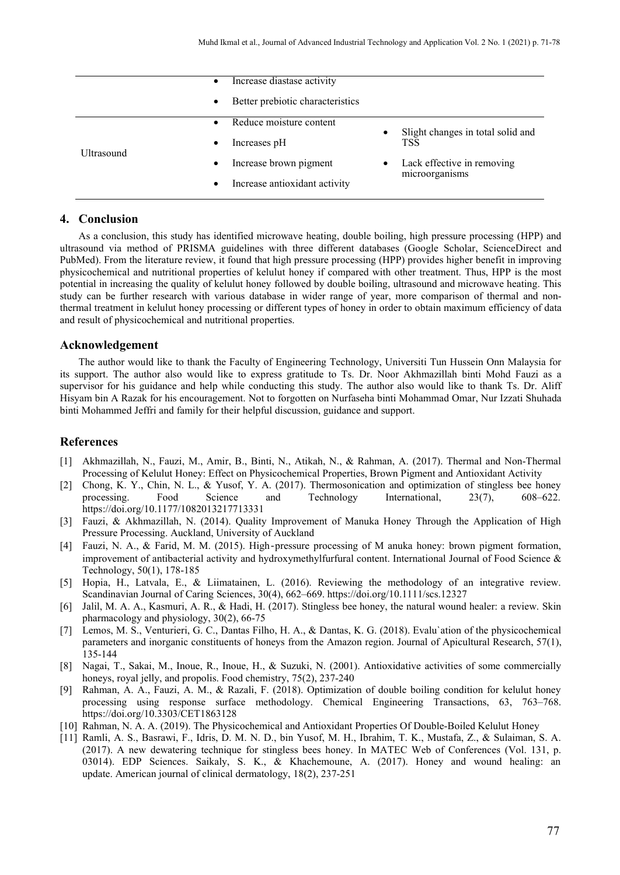|            | Increase diastase activity<br>$\bullet$       |                                                |
|------------|-----------------------------------------------|------------------------------------------------|
|            | Better prebiotic characteristics<br>$\bullet$ |                                                |
|            | Reduce moisture content<br>$\bullet$          | Slight changes in total solid and<br>$\bullet$ |
|            | Increases pH<br>$\bullet$                     | <b>TSS</b>                                     |
| Ultrasound | Increase brown pigment<br>$\bullet$           | Lack effective in removing                     |
|            | Increase antioxidant activity<br>$\bullet$    | microorganisms                                 |

#### **4. Conclusion**

As a conclusion, this study has identified microwave heating, double boiling, high pressure processing (HPP) and ultrasound via method of PRISMA guidelines with three different databases (Google Scholar, ScienceDirect and PubMed). From the literature review, it found that high pressure processing (HPP) provides higher benefit in improving physicochemical and nutritional properties of kelulut honey if compared with other treatment. Thus, HPP is the most potential in increasing the quality of kelulut honey followed by double boiling, ultrasound and microwave heating. This study can be further research with various database in wider range of year, more comparison of thermal and nonthermal treatment in kelulut honey processing or different types of honey in order to obtain maximum efficiency of data and result of physicochemical and nutritional properties.

#### **Acknowledgement**

The author would like to thank the Faculty of Engineering Technology, Universiti Tun Hussein Onn Malaysia for its support. The author also would like to express gratitude to Ts. Dr. Noor Akhmazillah binti Mohd Fauzi as a supervisor for his guidance and help while conducting this study. The author also would like to thank Ts. Dr. Aliff Hisyam bin A Razak for his encouragement. Not to forgotten on Nurfaseha binti Mohammad Omar, Nur Izzati Shuhada binti Mohammed Jeffri and family for their helpful discussion, guidance and support.

# **References**

- [1] Akhmazillah, N., Fauzi, M., Amir, B., Binti, N., Atikah, N., & Rahman, A. (2017). Thermal and Non-Thermal Processing of Kelulut Honey: Effect on Physicochemical Properties, Brown Pigment and Antioxidant Activity
- [2] Chong, K. Y., Chin, N. L., & Yusof, Y. A. (2017). Thermosonication and optimization of stingless bee honey processing. Food Science and Technology International, 23(7), 608–622. https://doi.org/10.1177/1082013217713331
- [3] Fauzi, & Akhmazillah, N. (2014). Quality Improvement of Manuka Honey Through the Application of High Pressure Processing. Auckland, University of Auckland
- [4] Fauzi, N. A., & Farid, M. M. (2015). High-pressure processing of M anuka honey: brown pigment formation, improvement of antibacterial activity and hydroxymethylfurfural content. International Journal of Food Science & Technology, 50(1), 178-185
- [5] Hopia, H., Latvala, E., & Liimatainen, L. (2016). Reviewing the methodology of an integrative review. Scandinavian Journal of Caring Sciences, 30(4), 662–669. https://doi.org/10.1111/scs.12327
- [6] Jalil, M. A. A., Kasmuri, A. R., & Hadi, H. (2017). Stingless bee honey, the natural wound healer: a review. Skin pharmacology and physiology, 30(2), 66-75
- [7] Lemos, M. S., Venturieri, G. C., Dantas Filho, H. A., & Dantas, K. G. (2018). Evalu`ation of the physicochemical parameters and inorganic constituents of honeys from the Amazon region. Journal of Apicultural Research, 57(1), 135-144
- [8] Nagai, T., Sakai, M., Inoue, R., Inoue, H., & Suzuki, N. (2001). Antioxidative activities of some commercially honeys, royal jelly, and propolis. Food chemistry, 75(2), 237-240
- [9] Rahman, A. A., Fauzi, A. M., & Razali, F. (2018). Optimization of double boiling condition for kelulut honey processing using response surface methodology. Chemical Engineering Transactions, 63, 763–768. https://doi.org/10.3303/CET1863128
- [10] Rahman, N. A. A. (2019). The Physicochemical and Antioxidant Properties Of Double-Boiled Kelulut Honey
- [11] Ramli, A. S., Basrawi, F., Idris, D. M. N. D., bin Yusof, M. H., Ibrahim, T. K., Mustafa, Z., & Sulaiman, S. A. (2017). A new dewatering technique for stingless bees honey. In MATEC Web of Conferences (Vol. 131, p. 03014). EDP Sciences. Saikaly, S. K., & Khachemoune, A. (2017). Honey and wound healing: an update. American journal of clinical dermatology, 18(2), 237-251